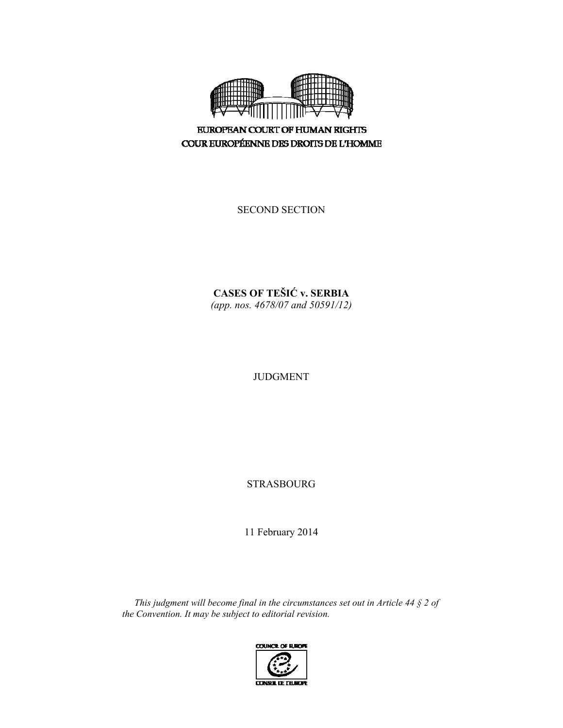

**EUROPEAN COURT OF HUMAN RIGHTS** COUR EUROPÉENNE DES DROITS DE L'HOMME

SECOND SECTION

**CASES OF TEŠIĆ v. SERBIA**  *(app. nos. 4678/07 and 50591/12)* 

JUDGMENT

STRASBOURG

11 February 2014

*This judgment will become final in the circumstances set out in Article 44 § 2 of the Convention. It may be subject to editorial revision.*

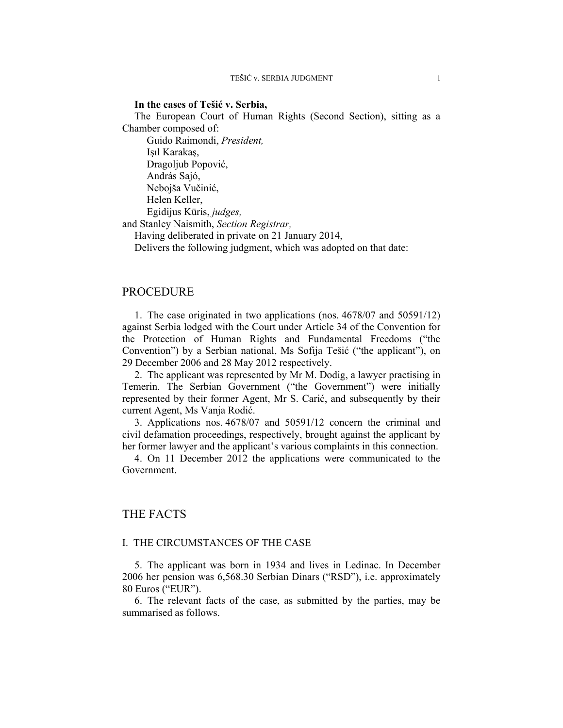### **In the cases of Tešić v. Serbia,**

The European Court of Human Rights (Second Section), sitting as a Chamber composed of:

 Guido Raimondi, *President,*  Işıl Karakaş, Dragoljub Popović, András Sajó, Nebojša Vučinić, Helen Keller, Egidijus Kūris, *judges,*

and Stanley Naismith, *Section Registrar,*

Having deliberated in private on 21 January 2014,

Delivers the following judgment, which was adopted on that date:

## PROCEDURE

1. The case originated in two applications (nos. 4678/07 and 50591/12) against Serbia lodged with the Court under Article 34 of the Convention for the Protection of Human Rights and Fundamental Freedoms ("the Convention") by a Serbian national, Ms Sofija Tešić ("the applicant"), on 29 December 2006 and 28 May 2012 respectively.

2. The applicant was represented by Mr M. Dodig, a lawyer practising in Temerin. The Serbian Government ("the Government") were initially represented by their former Agent, Mr S. Carić, and subsequently by their current Agent, Ms Vanja Rodić.

3. Applications nos. 4678/07 and 50591/12 concern the criminal and civil defamation proceedings, respectively, brought against the applicant by her former lawyer and the applicant's various complaints in this connection.

4. On 11 December 2012 the applications were communicated to the Government.

# THE FACTS

## I. THE CIRCUMSTANCES OF THE CASE

5. The applicant was born in 1934 and lives in Ledinac. In December 2006 her pension was 6,568.30 Serbian Dinars ("RSD"), i.e. approximately 80 Euros ("EUR").

6. The relevant facts of the case, as submitted by the parties, may be summarised as follows.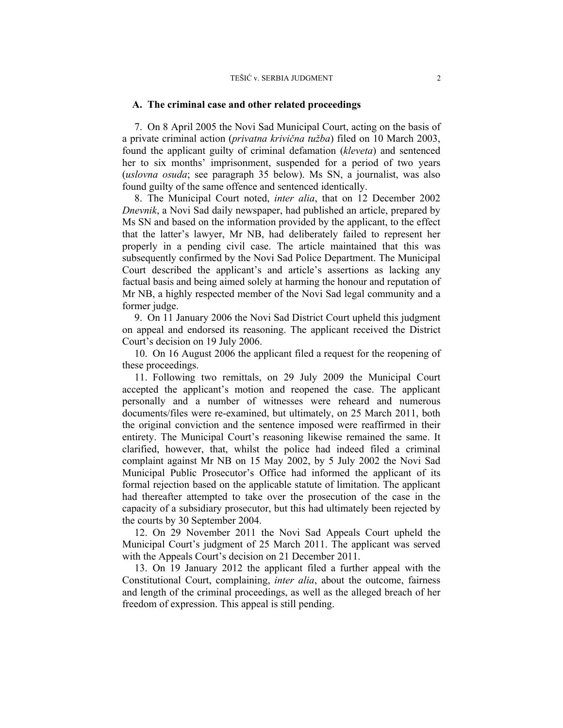### **A. The criminal case and other related proceedings**

7. On 8 April 2005 the Novi Sad Municipal Court, acting on the basis of a private criminal action (*privatna krivična tužba*) filed on 10 March 2003, found the applicant guilty of criminal defamation (*kleveta*) and sentenced her to six months' imprisonment, suspended for a period of two years (*uslovna osuda*; see paragraph 35 below). Ms SN, a journalist, was also found guilty of the same offence and sentenced identically.

8. The Municipal Court noted, *inter alia*, that on 12 December 2002 *Dnevnik*, a Novi Sad daily newspaper, had published an article, prepared by Ms SN and based on the information provided by the applicant, to the effect that the latter's lawyer, Mr NB, had deliberately failed to represent her properly in a pending civil case. The article maintained that this was subsequently confirmed by the Novi Sad Police Department. The Municipal Court described the applicant's and article's assertions as lacking any factual basis and being aimed solely at harming the honour and reputation of Mr NB, a highly respected member of the Novi Sad legal community and a former judge.

9. On 11 January 2006 the Novi Sad District Court upheld this judgment on appeal and endorsed its reasoning. The applicant received the District Court's decision on 19 July 2006.

10. On 16 August 2006 the applicant filed a request for the reopening of these proceedings.

11. Following two remittals, on 29 July 2009 the Municipal Court accepted the applicant's motion and reopened the case. The applicant personally and a number of witnesses were reheard and numerous documents/files were re-examined, but ultimately, on 25 March 2011, both the original conviction and the sentence imposed were reaffirmed in their entirety. The Municipal Court's reasoning likewise remained the same. It clarified, however, that, whilst the police had indeed filed a criminal complaint against Mr NB on 15 May 2002, by 5 July 2002 the Novi Sad Municipal Public Prosecutor's Office had informed the applicant of its formal rejection based on the applicable statute of limitation. The applicant had thereafter attempted to take over the prosecution of the case in the capacity of a subsidiary prosecutor, but this had ultimately been rejected by the courts by 30 September 2004.

12. On 29 November 2011 the Novi Sad Appeals Court upheld the Municipal Court's judgment of 25 March 2011. The applicant was served with the Appeals Court's decision on 21 December 2011.

13. On 19 January 2012 the applicant filed a further appeal with the Constitutional Court, complaining, *inter alia*, about the outcome, fairness and length of the criminal proceedings, as well as the alleged breach of her freedom of expression. This appeal is still pending.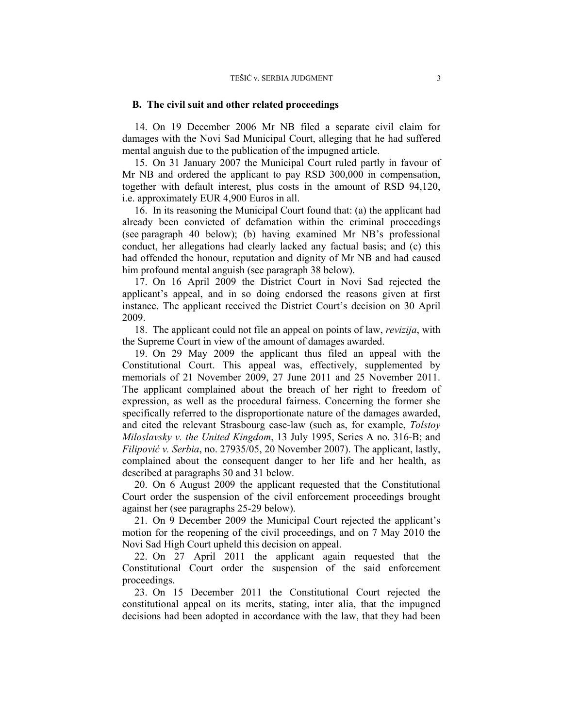### **B. The civil suit and other related proceedings**

14. On 19 December 2006 Mr NB filed a separate civil claim for damages with the Novi Sad Municipal Court, alleging that he had suffered mental anguish due to the publication of the impugned article.

15. On 31 January 2007 the Municipal Court ruled partly in favour of Mr NB and ordered the applicant to pay RSD 300,000 in compensation, together with default interest, plus costs in the amount of RSD 94,120, i.e. approximately EUR 4,900 Euros in all.

16. In its reasoning the Municipal Court found that: (a) the applicant had already been convicted of defamation within the criminal proceedings (see paragraph 40 below); (b) having examined Mr NB's professional conduct, her allegations had clearly lacked any factual basis; and (c) this had offended the honour, reputation and dignity of Mr NB and had caused him profound mental anguish (see paragraph 38 below).

17. On 16 April 2009 the District Court in Novi Sad rejected the applicant's appeal, and in so doing endorsed the reasons given at first instance. The applicant received the District Court's decision on 30 April 2009.

18. The applicant could not file an appeal on points of law, *revizija*, with the Supreme Court in view of the amount of damages awarded.

19. On 29 May 2009 the applicant thus filed an appeal with the Constitutional Court. This appeal was, effectively, supplemented by memorials of 21 November 2009, 27 June 2011 and 25 November 2011. The applicant complained about the breach of her right to freedom of expression, as well as the procedural fairness. Concerning the former she specifically referred to the disproportionate nature of the damages awarded, and cited the relevant Strasbourg case-law (such as, for example, *Tolstoy Miloslavsky v. the United Kingdom*, 13 July 1995, Series A no. 316-B; and *Filipović v. Serbia*, no. 27935/05, 20 November 2007). The applicant, lastly, complained about the consequent danger to her life and her health, as described at paragraphs 30 and 31 below.

20. On 6 August 2009 the applicant requested that the Constitutional Court order the suspension of the civil enforcement proceedings brought against her (see paragraphs 25-29 below).

21. On 9 December 2009 the Municipal Court rejected the applicant's motion for the reopening of the civil proceedings, and on 7 May 2010 the Novi Sad High Court upheld this decision on appeal.

22. On 27 April 2011 the applicant again requested that the Constitutional Court order the suspension of the said enforcement proceedings.

23. On 15 December 2011 the Constitutional Court rejected the constitutional appeal on its merits, stating, inter alia, that the impugned decisions had been adopted in accordance with the law, that they had been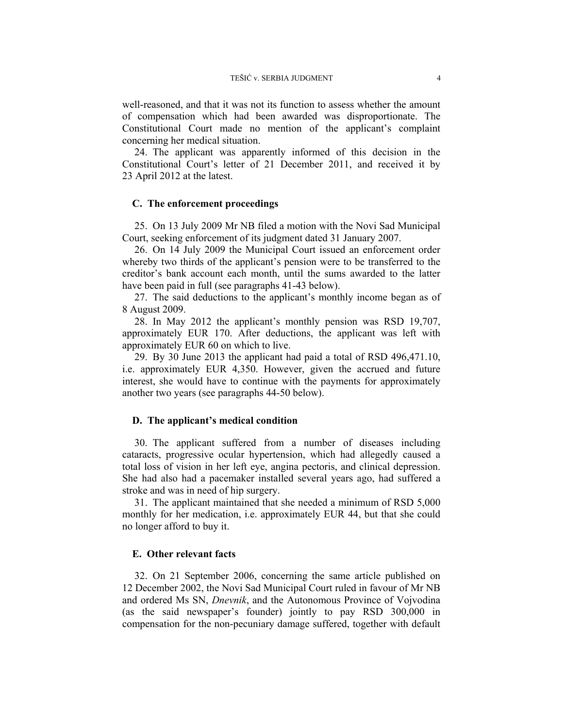well-reasoned, and that it was not its function to assess whether the amount of compensation which had been awarded was disproportionate. The Constitutional Court made no mention of the applicant's complaint concerning her medical situation.

24. The applicant was apparently informed of this decision in the Constitutional Court's letter of 21 December 2011, and received it by 23 April 2012 at the latest.

### **C. The enforcement proceedings**

25. On 13 July 2009 Mr NB filed a motion with the Novi Sad Municipal Court, seeking enforcement of its judgment dated 31 January 2007.

26. On 14 July 2009 the Municipal Court issued an enforcement order whereby two thirds of the applicant's pension were to be transferred to the creditor's bank account each month, until the sums awarded to the latter have been paid in full (see paragraphs 41-43 below).

27. The said deductions to the applicant's monthly income began as of 8 August 2009.

28. In May 2012 the applicant's monthly pension was RSD 19,707, approximately EUR 170. After deductions, the applicant was left with approximately EUR 60 on which to live.

29. By 30 June 2013 the applicant had paid a total of RSD 496,471.10, i.e. approximately EUR 4,350. However, given the accrued and future interest, she would have to continue with the payments for approximately another two years (see paragraphs 44-50 below).

### **D. The applicant's medical condition**

30. The applicant suffered from a number of diseases including cataracts, progressive ocular hypertension, which had allegedly caused a total loss of vision in her left eye, angina pectoris, and clinical depression. She had also had a pacemaker installed several years ago, had suffered a stroke and was in need of hip surgery.

31. The applicant maintained that she needed a minimum of RSD 5,000 monthly for her medication, i.e. approximately EUR 44, but that she could no longer afford to buy it.

### **E. Other relevant facts**

32. On 21 September 2006, concerning the same article published on 12 December 2002, the Novi Sad Municipal Court ruled in favour of Mr NB and ordered Ms SN, *Dnevnik*, and the Autonomous Province of Vojvodina (as the said newspaper's founder) jointly to pay RSD 300,000 in compensation for the non-pecuniary damage suffered, together with default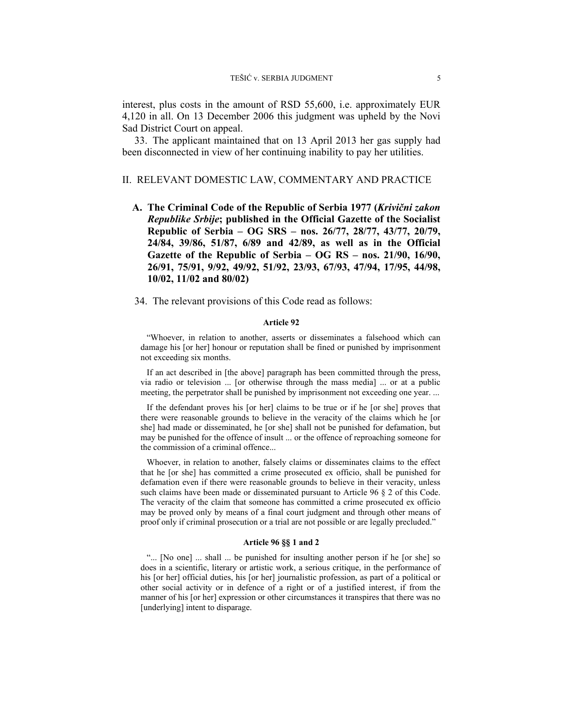interest, plus costs in the amount of RSD 55,600, i.e. approximately EUR 4,120 in all. On 13 December 2006 this judgment was upheld by the Novi Sad District Court on appeal.

33. The applicant maintained that on 13 April 2013 her gas supply had been disconnected in view of her continuing inability to pay her utilities.

### II. RELEVANT DOMESTIC LAW, COMMENTARY AND PRACTICE

- **A. The Criminal Code of the Republic of Serbia 1977 (***Krivični zakon Republike Srbije***; published in the Official Gazette of the Socialist Republic of Serbia – OG SRS – nos. 26/77, 28/77, 43/77, 20/79, 24/84, 39/86, 51/87, 6/89 and 42/89, as well as in the Official Gazette of the Republic of Serbia – OG RS – nos. 21/90, 16/90, 26/91, 75/91, 9/92, 49/92, 51/92, 23/93, 67/93, 47/94, 17/95, 44/98, 10/02, 11/02 and 80/02)**
- 34. The relevant provisions of this Code read as follows:

#### **Article 92**

"Whoever, in relation to another, asserts or disseminates a falsehood which can damage his [or her] honour or reputation shall be fined or punished by imprisonment not exceeding six months.

If an act described in [the above] paragraph has been committed through the press, via radio or television ... [or otherwise through the mass media] ... or at a public meeting, the perpetrator shall be punished by imprisonment not exceeding one year. ...

If the defendant proves his [or her] claims to be true or if he [or she] proves that there were reasonable grounds to believe in the veracity of the claims which he [or she] had made or disseminated, he [or she] shall not be punished for defamation, but may be punished for the offence of insult ... or the offence of reproaching someone for the commission of a criminal offence...

Whoever, in relation to another, falsely claims or disseminates claims to the effect that he [or she] has committed a crime prosecuted ex officio, shall be punished for defamation even if there were reasonable grounds to believe in their veracity, unless such claims have been made or disseminated pursuant to Article 96 § 2 of this Code. The veracity of the claim that someone has committed a crime prosecuted ex officio may be proved only by means of a final court judgment and through other means of proof only if criminal prosecution or a trial are not possible or are legally precluded."

#### **Article 96 §§ 1 and 2**

"... [No one] ... shall ... be punished for insulting another person if he [or she] so does in a scientific, literary or artistic work, a serious critique, in the performance of his [or her] official duties, his [or her] journalistic profession, as part of a political or other social activity or in defence of a right or of a justified interest, if from the manner of his [or her] expression or other circumstances it transpires that there was no [underlying] intent to disparage.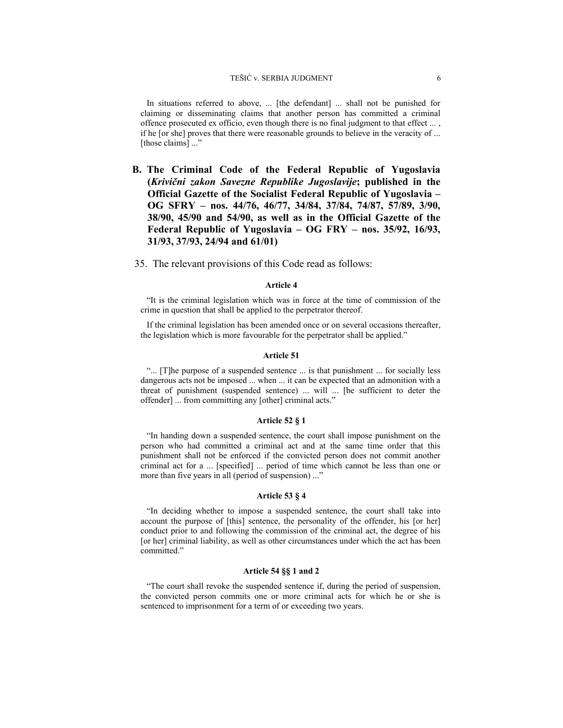In situations referred to above, ... [the defendant] ... shall not be punished for claiming or disseminating claims that another person has committed a criminal offence prosecuted ex officio, even though there is no final judgment to that effect ... , if he [or she] proves that there were reasonable grounds to believe in the veracity of ... [those claims] ..."

- **B. The Criminal Code of the Federal Republic of Yugoslavia (***Krivični zakon Savezne Republike Jugoslavije***; published in the Official Gazette of the Socialist Federal Republic of Yugoslavia – OG SFRY – nos. 44/76, 46/77, 34/84, 37/84, 74/87, 57/89, 3/90, 38/90, 45/90 and 54/90, as well as in the Official Gazette of the Federal Republic of Yugoslavia – OG FRY – nos. 35/92, 16/93, 31/93, 37/93, 24/94 and 61/01)**
- 35. The relevant provisions of this Code read as follows:

#### **Article 4**

"It is the criminal legislation which was in force at the time of commission of the crime in question that shall be applied to the perpetrator thereof.

If the criminal legislation has been amended once or on several occasions thereafter, the legislation which is more favourable for the perpetrator shall be applied."

#### **Article 51**

"... [T]he purpose of a suspended sentence ... is that punishment ... for socially less dangerous acts not be imposed ... when ... it can be expected that an admonition with a threat of punishment (suspended sentence) ... will ... [be sufficient to deter the offender] ... from committing any [other] criminal acts."

#### **Article 52 § 1**

"In handing down a suspended sentence, the court shall impose punishment on the person who had committed a criminal act and at the same time order that this punishment shall not be enforced if the convicted person does not commit another criminal act for a ... [specified] ... period of time which cannot be less than one or more than five years in all (period of suspension) ..."

#### **Article 53 § 4**

"In deciding whether to impose a suspended sentence, the court shall take into account the purpose of [this] sentence, the personality of the offender, his [or her] conduct prior to and following the commission of the criminal act, the degree of his [or her] criminal liability, as well as other circumstances under which the act has been committed."

### **Article 54 §§ 1 and 2**

"The court shall revoke the suspended sentence if, during the period of suspension, the convicted person commits one or more criminal acts for which he or she is sentenced to imprisonment for a term of or exceeding two years.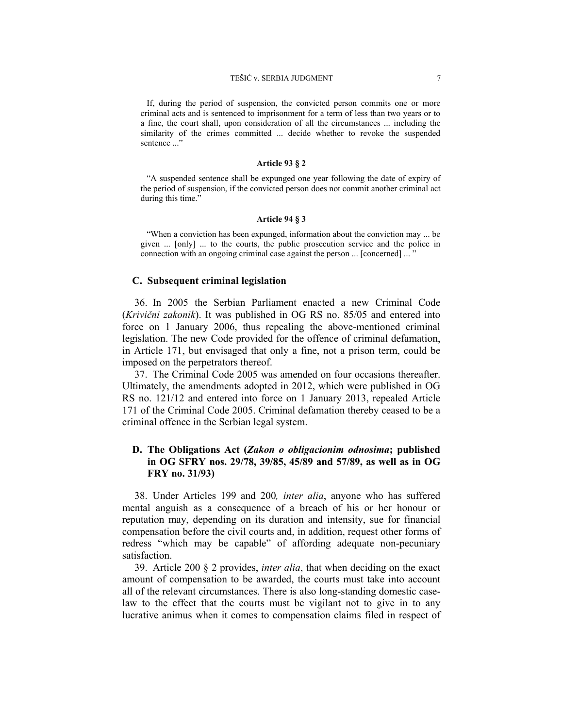#### TEŠIĆ v. SERBIA JUDGMENT 7

If, during the period of suspension, the convicted person commits one or more criminal acts and is sentenced to imprisonment for a term of less than two years or to a fine, the court shall, upon consideration of all the circumstances ... including the similarity of the crimes committed ... decide whether to revoke the suspended sentence ..."

#### **Article 93 § 2**

"A suspended sentence shall be expunged one year following the date of expiry of the period of suspension, if the convicted person does not commit another criminal act during this time."

### **Article 94 § 3**

"When a conviction has been expunged, information about the conviction may ... be given ... [only] ... to the courts, the public prosecution service and the police in connection with an ongoing criminal case against the person ... [concerned] ... "

### **C. Subsequent criminal legislation**

36. In 2005 the Serbian Parliament enacted a new Criminal Code (*Krivični zakonik*). It was published in OG RS no. 85/05 and entered into force on 1 January 2006, thus repealing the above-mentioned criminal legislation. The new Code provided for the offence of criminal defamation, in Article 171, but envisaged that only a fine, not a prison term, could be imposed on the perpetrators thereof.

37. The Criminal Code 2005 was amended on four occasions thereafter. Ultimately, the amendments adopted in 2012, which were published in OG RS no. 121/12 and entered into force on 1 January 2013, repealed Article 171 of the Criminal Code 2005. Criminal defamation thereby ceased to be a criminal offence in the Serbian legal system.

# **D. The Obligations Act (***Zakon o obligacionim odnosima***; published in OG SFRY nos. 29/78, 39/85, 45/89 and 57/89, as well as in OG FRY no. 31/93)**

38. Under Articles 199 and 200*, inter alia*, anyone who has suffered mental anguish as a consequence of a breach of his or her honour or reputation may, depending on its duration and intensity, sue for financial compensation before the civil courts and, in addition, request other forms of redress "which may be capable" of affording adequate non-pecuniary satisfaction.

39. Article 200 § 2 provides, *inter alia*, that when deciding on the exact amount of compensation to be awarded, the courts must take into account all of the relevant circumstances. There is also long-standing domestic caselaw to the effect that the courts must be vigilant not to give in to any lucrative animus when it comes to compensation claims filed in respect of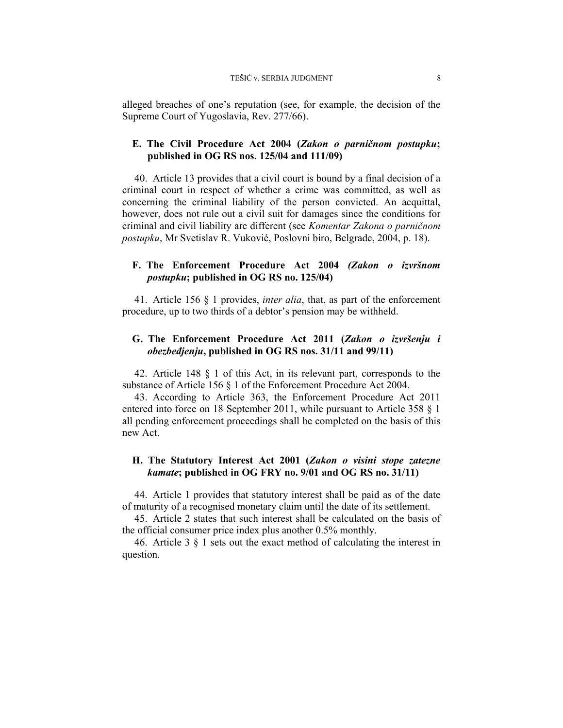alleged breaches of one's reputation (see, for example, the decision of the Supreme Court of Yugoslavia, Rev. 277/66).

# **E. The Civil Procedure Act 2004 (***Zakon o parničnom postupku***; published in OG RS nos. 125/04 and 111/09)**

40. Article 13 provides that a civil court is bound by a final decision of a criminal court in respect of whether a crime was committed, as well as concerning the criminal liability of the person convicted. An acquittal, however, does not rule out a civil suit for damages since the conditions for criminal and civil liability are different (see *Komentar Zakona o parničnom postupku*, Mr Svetislav R. Vuković, Poslovni biro, Belgrade, 2004, p. 18).

# **F. The Enforcement Procedure Act 2004** *(Zakon o izvršnom postupku***; published in OG RS no. 125/04)**

41. Article 156 § 1 provides, *inter alia*, that, as part of the enforcement procedure, up to two thirds of a debtor's pension may be withheld.

# **G. The Enforcement Procedure Act 2011 (***Zakon o izvršenju i obezbeđjenju***, published in OG RS nos. 31/11 and 99/11)**

42. Article 148 § 1 of this Act, in its relevant part, corresponds to the substance of Article 156  $\S$  1 of the Enforcement Procedure Act 2004.

43. According to Article 363, the Enforcement Procedure Act 2011 entered into force on 18 September 2011, while pursuant to Article 358 § 1 all pending enforcement proceedings shall be completed on the basis of this new Act.

# **H. The Statutory Interest Act 2001 (***Zakon o visini stope zatezne kamate***; published in OG FRY no. 9/01 and OG RS no. 31/11)**

44. Article 1 provides that statutory interest shall be paid as of the date of maturity of a recognised monetary claim until the date of its settlement.

45. Article 2 states that such interest shall be calculated on the basis of the official consumer price index plus another 0.5% monthly.

46. Article 3 § 1 sets out the exact method of calculating the interest in question.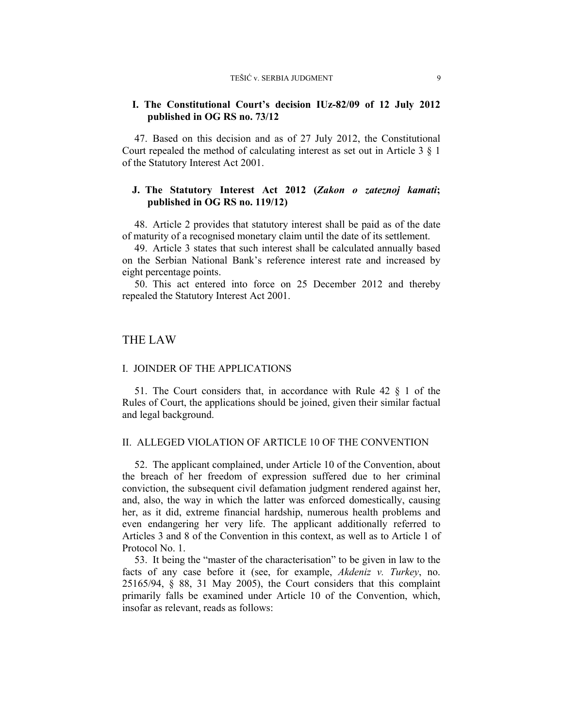## **I. The Constitutional Court's decision IUz-82/09 of 12 July 2012 published in OG RS no. 73/12**

47. Based on this decision and as of 27 July 2012, the Constitutional Court repealed the method of calculating interest as set out in Article 3 § 1 of the Statutory Interest Act 2001.

# **J. The Statutory Interest Act 2012 (***Zakon o zateznoj kamati***; published in OG RS no. 119/12)**

48. Article 2 provides that statutory interest shall be paid as of the date of maturity of a recognised monetary claim until the date of its settlement.

49. Article 3 states that such interest shall be calculated annually based on the Serbian National Bank's reference interest rate and increased by eight percentage points.

50. This act entered into force on 25 December 2012 and thereby repealed the Statutory Interest Act 2001.

# THE LAW

### I. JOINDER OF THE APPLICATIONS

51. The Court considers that, in accordance with Rule 42 § 1 of the Rules of Court, the applications should be joined, given their similar factual and legal background.

### II. ALLEGED VIOLATION OF ARTICLE 10 OF THE CONVENTION

52. The applicant complained, under Article 10 of the Convention, about the breach of her freedom of expression suffered due to her criminal conviction, the subsequent civil defamation judgment rendered against her, and, also, the way in which the latter was enforced domestically, causing her, as it did, extreme financial hardship, numerous health problems and even endangering her very life. The applicant additionally referred to Articles 3 and 8 of the Convention in this context, as well as to Article 1 of Protocol No. 1.

53. It being the "master of the characterisation" to be given in law to the facts of any case before it (see, for example, *Akdeniz v. Turkey*, no. 25165/94, § 88, 31 May 2005), the Court considers that this complaint primarily falls be examined under Article 10 of the Convention, which, insofar as relevant, reads as follows: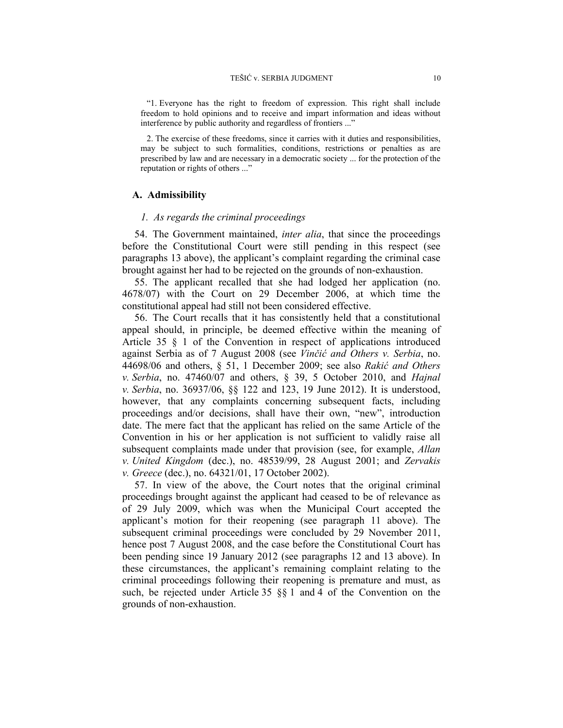"1. Everyone has the right to freedom of expression. This right shall include freedom to hold opinions and to receive and impart information and ideas without interference by public authority and regardless of frontiers ..."

2. The exercise of these freedoms, since it carries with it duties and responsibilities, may be subject to such formalities, conditions, restrictions or penalties as are prescribed by law and are necessary in a democratic society ... for the protection of the reputation or rights of others ..."

## **A. Admissibility**

## *1. As regards the criminal proceedings*

54. The Government maintained, *inter alia*, that since the proceedings before the Constitutional Court were still pending in this respect (see paragraphs 13 above), the applicant's complaint regarding the criminal case brought against her had to be rejected on the grounds of non-exhaustion.

55. The applicant recalled that she had lodged her application (no. 4678/07) with the Court on 29 December 2006, at which time the constitutional appeal had still not been considered effective.

56. The Court recalls that it has consistently held that a constitutional appeal should, in principle, be deemed effective within the meaning of Article 35 § 1 of the Convention in respect of applications introduced against Serbia as of 7 August 2008 (see *Vinčić and Others v. Serbia*, no. 44698/06 and others, § 51, 1 December 2009; see also *Rakić and Others v. Serbia*, no. 47460/07 and others, § 39, 5 October 2010, and *Hajnal v. Serbia*, no. 36937/06, §§ 122 and 123, 19 June 2012). It is understood, however, that any complaints concerning subsequent facts, including proceedings and/or decisions, shall have their own, "new", introduction date. The mere fact that the applicant has relied on the same Article of the Convention in his or her application is not sufficient to validly raise all subsequent complaints made under that provision (see, for example, *Allan v. United Kingdom* (dec.), no. 48539/99, 28 August 2001; and *Zervakis v. Greece* (dec.), no. 64321/01, 17 October 2002).

57. In view of the above, the Court notes that the original criminal proceedings brought against the applicant had ceased to be of relevance as of 29 July 2009, which was when the Municipal Court accepted the applicant's motion for their reopening (see paragraph 11 above). The subsequent criminal proceedings were concluded by 29 November 2011, hence post 7 August 2008, and the case before the Constitutional Court has been pending since 19 January 2012 (see paragraphs 12 and 13 above). In these circumstances, the applicant's remaining complaint relating to the criminal proceedings following their reopening is premature and must, as such, be rejected under Article 35 §§ 1 and 4 of the Convention on the grounds of non-exhaustion.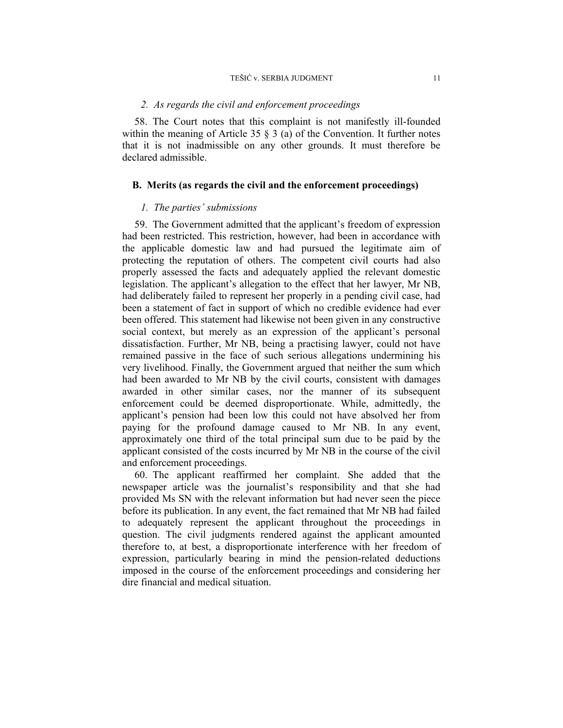#### *2. As regards the civil and enforcement proceedings*

58. The Court notes that this complaint is not manifestly ill-founded within the meaning of Article 35  $\S$  3 (a) of the Convention. It further notes that it is not inadmissible on any other grounds. It must therefore be declared admissible.

### **B. Merits (as regards the civil and the enforcement proceedings)**

## *1. The parties' submissions*

59. The Government admitted that the applicant's freedom of expression had been restricted. This restriction, however, had been in accordance with the applicable domestic law and had pursued the legitimate aim of protecting the reputation of others. The competent civil courts had also properly assessed the facts and adequately applied the relevant domestic legislation. The applicant's allegation to the effect that her lawyer, Mr NB, had deliberately failed to represent her properly in a pending civil case, had been a statement of fact in support of which no credible evidence had ever been offered. This statement had likewise not been given in any constructive social context, but merely as an expression of the applicant's personal dissatisfaction. Further, Mr NB, being a practising lawyer, could not have remained passive in the face of such serious allegations undermining his very livelihood. Finally, the Government argued that neither the sum which had been awarded to Mr NB by the civil courts, consistent with damages awarded in other similar cases, nor the manner of its subsequent enforcement could be deemed disproportionate. While, admittedly, the applicant's pension had been low this could not have absolved her from paying for the profound damage caused to Mr NB. In any event, approximately one third of the total principal sum due to be paid by the applicant consisted of the costs incurred by Mr NB in the course of the civil and enforcement proceedings.

60. The applicant reaffirmed her complaint. She added that the newspaper article was the journalist's responsibility and that she had provided Ms SN with the relevant information but had never seen the piece before its publication. In any event, the fact remained that Mr NB had failed to adequately represent the applicant throughout the proceedings in question. The civil judgments rendered against the applicant amounted therefore to, at best, a disproportionate interference with her freedom of expression, particularly bearing in mind the pension-related deductions imposed in the course of the enforcement proceedings and considering her dire financial and medical situation.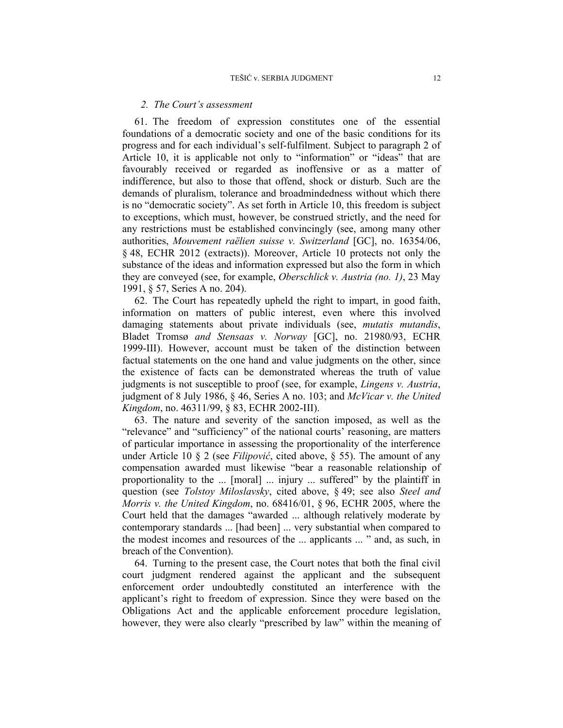## *2. The Court's assessment*

61. The freedom of expression constitutes one of the essential foundations of a democratic society and one of the basic conditions for its progress and for each individual's self-fulfilment. Subject to paragraph 2 of Article 10, it is applicable not only to "information" or "ideas" that are favourably received or regarded as inoffensive or as a matter of indifference, but also to those that offend, shock or disturb. Such are the demands of pluralism, tolerance and broadmindedness without which there is no "democratic society". As set forth in Article 10, this freedom is subject to exceptions, which must, however, be construed strictly, and the need for any restrictions must be established convincingly (see, among many other authorities, *Mouvement raëlien suisse v. Switzerland* [GC], no. 16354/06, § 48, ECHR 2012 (extracts)). Moreover, Article 10 protects not only the substance of the ideas and information expressed but also the form in which they are conveyed (see, for example, *Oberschlick v. Austria (no. 1)*, 23 May 1991, § 57, Series A no. 204).

62. The Court has repeatedly upheld the right to impart, in good faith, information on matters of public interest, even where this involved damaging statements about private individuals (see, *mutatis mutandis*, Bladet Tromsø *and Stensaas v. Norway* [GC], no. 21980/93, ECHR 1999-III). However, account must be taken of the distinction between factual statements on the one hand and value judgments on the other, since the existence of facts can be demonstrated whereas the truth of value judgments is not susceptible to proof (see, for example, *Lingens v. Austria*, judgment of 8 July 1986, § 46, Series A no. 103; and *McVicar v. the United Kingdom*, no. 46311/99, § 83, ECHR 2002-III).

63. The nature and severity of the sanction imposed, as well as the "relevance" and "sufficiency" of the national courts' reasoning, are matters of particular importance in assessing the proportionality of the interference under Article 10 § 2 (see *Filipović*, cited above, § 55). The amount of any compensation awarded must likewise "bear a reasonable relationship of proportionality to the ... [moral] ... injury ... suffered" by the plaintiff in question (see *Tolstoy Miloslavsky*, cited above, § 49; see also *Steel and Morris v. the United Kingdom*, no. 68416/01, § 96, ECHR 2005, where the Court held that the damages "awarded ... although relatively moderate by contemporary standards ... [had been] ... very substantial when compared to the modest incomes and resources of the ... applicants ... " and, as such, in breach of the Convention).

64. Turning to the present case, the Court notes that both the final civil court judgment rendered against the applicant and the subsequent enforcement order undoubtedly constituted an interference with the applicant's right to freedom of expression. Since they were based on the Obligations Act and the applicable enforcement procedure legislation, however, they were also clearly "prescribed by law" within the meaning of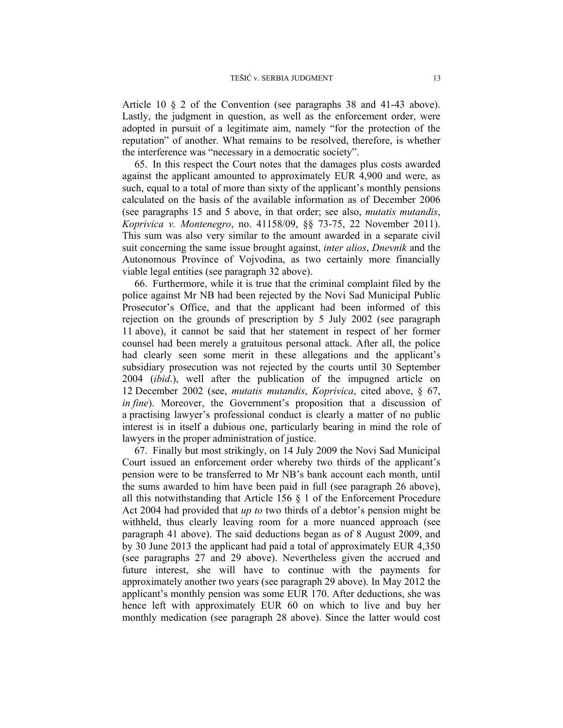Article 10 § 2 of the Convention (see paragraphs 38 and 41-43 above). Lastly, the judgment in question, as well as the enforcement order, were adopted in pursuit of a legitimate aim, namely "for the protection of the reputation" of another. What remains to be resolved, therefore, is whether the interference was "necessary in a democratic society".

65. In this respect the Court notes that the damages plus costs awarded against the applicant amounted to approximately EUR 4,900 and were, as such, equal to a total of more than sixty of the applicant's monthly pensions calculated on the basis of the available information as of December 2006 (see paragraphs 15 and 5 above, in that order; see also, *mutatis mutandis*, *Koprivica v. Montenegro*, no. 41158/09, §§ 73-75, 22 November 2011). This sum was also very similar to the amount awarded in a separate civil suit concerning the same issue brought against, *inter alios*, *Dnevnik* and the Autonomous Province of Vojvodina, as two certainly more financially viable legal entities (see paragraph 32 above).

66. Furthermore, while it is true that the criminal complaint filed by the police against Mr NB had been rejected by the Novi Sad Municipal Public Prosecutor's Office, and that the applicant had been informed of this rejection on the grounds of prescription by 5 July 2002 (see paragraph 11 above), it cannot be said that her statement in respect of her former counsel had been merely a gratuitous personal attack. After all, the police had clearly seen some merit in these allegations and the applicant's subsidiary prosecution was not rejected by the courts until 30 September 2004 (*ibid*.), well after the publication of the impugned article on 12 December 2002 (see, *mutatis mutandis*, *Koprivica*, cited above, § 67, *in fine*). Moreover, the Government's proposition that a discussion of a practising lawyer's professional conduct is clearly a matter of no public interest is in itself a dubious one, particularly bearing in mind the role of lawyers in the proper administration of justice.

67. Finally but most strikingly, on 14 July 2009 the Novi Sad Municipal Court issued an enforcement order whereby two thirds of the applicant's pension were to be transferred to Mr NB's bank account each month, until the sums awarded to him have been paid in full (see paragraph 26 above), all this notwithstanding that Article 156  $\S$  1 of the Enforcement Procedure Act 2004 had provided that *up to* two thirds of a debtor's pension might be withheld, thus clearly leaving room for a more nuanced approach (see paragraph 41 above). The said deductions began as of 8 August 2009, and by 30 June 2013 the applicant had paid a total of approximately EUR 4,350 (see paragraphs 27 and 29 above). Nevertheless given the accrued and future interest, she will have to continue with the payments for approximately another two years (see paragraph 29 above). In May 2012 the applicant's monthly pension was some EUR 170. After deductions, she was hence left with approximately EUR 60 on which to live and buy her monthly medication (see paragraph 28 above). Since the latter would cost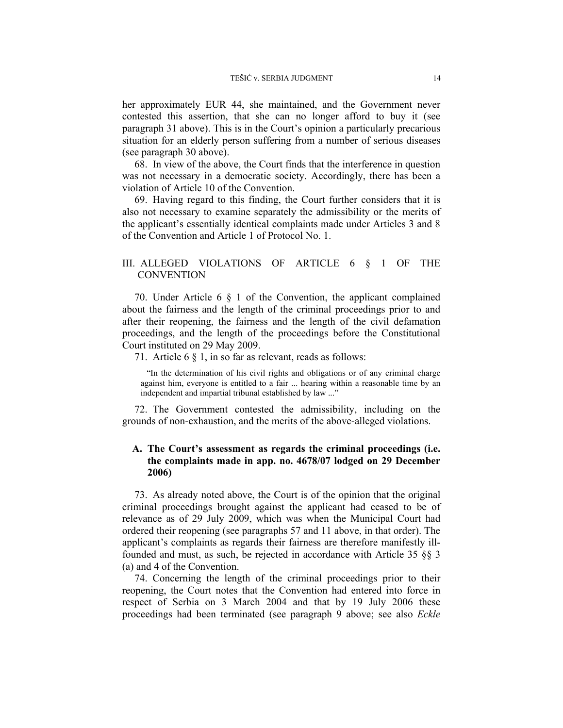her approximately EUR 44, she maintained, and the Government never contested this assertion, that she can no longer afford to buy it (see paragraph 31 above). This is in the Court's opinion a particularly precarious situation for an elderly person suffering from a number of serious diseases (see paragraph 30 above).

68. In view of the above, the Court finds that the interference in question was not necessary in a democratic society. Accordingly, there has been a violation of Article 10 of the Convention.

69. Having regard to this finding, the Court further considers that it is also not necessary to examine separately the admissibility or the merits of the applicant's essentially identical complaints made under Articles 3 and 8 of the Convention and Article 1 of Protocol No. 1.

# III. ALLEGED VIOLATIONS OF ARTICLE 6 § 1 OF THE **CONVENTION**

70. Under Article 6 § 1 of the Convention, the applicant complained about the fairness and the length of the criminal proceedings prior to and after their reopening, the fairness and the length of the civil defamation proceedings, and the length of the proceedings before the Constitutional Court instituted on 29 May 2009.

71. Article 6 § 1, in so far as relevant, reads as follows:

"In the determination of his civil rights and obligations or of any criminal charge against him, everyone is entitled to a fair ... hearing within a reasonable time by an independent and impartial tribunal established by law ..."

72. The Government contested the admissibility, including on the grounds of non-exhaustion, and the merits of the above-alleged violations.

# **A. The Court's assessment as regards the criminal proceedings (i.e. the complaints made in app. no. 4678/07 lodged on 29 December 2006)**

73. As already noted above, the Court is of the opinion that the original criminal proceedings brought against the applicant had ceased to be of relevance as of 29 July 2009, which was when the Municipal Court had ordered their reopening (see paragraphs 57 and 11 above, in that order). The applicant's complaints as regards their fairness are therefore manifestly illfounded and must, as such, be rejected in accordance with Article 35 §§ 3 (a) and 4 of the Convention.

74. Concerning the length of the criminal proceedings prior to their reopening, the Court notes that the Convention had entered into force in respect of Serbia on 3 March 2004 and that by 19 July 2006 these proceedings had been terminated (see paragraph 9 above; see also *Eckle*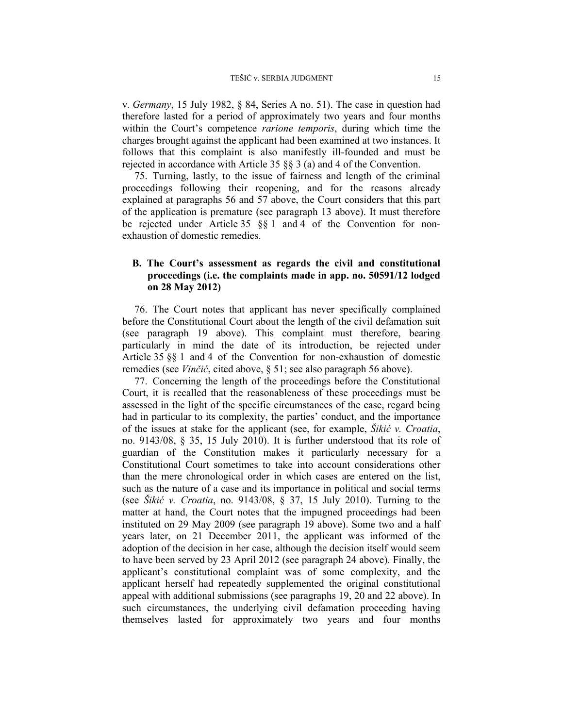v*. Germany*, 15 July 1982, § 84, Series A no. 51). The case in question had therefore lasted for a period of approximately two years and four months within the Court's competence *rarione temporis*, during which time the charges brought against the applicant had been examined at two instances. It follows that this complaint is also manifestly ill-founded and must be rejected in accordance with Article 35 §§ 3 (a) and 4 of the Convention.

75. Turning, lastly, to the issue of fairness and length of the criminal proceedings following their reopening, and for the reasons already explained at paragraphs 56 and 57 above, the Court considers that this part of the application is premature (see paragraph 13 above). It must therefore be rejected under Article 35 §§ 1 and 4 of the Convention for nonexhaustion of domestic remedies.

# **B. The Court's assessment as regards the civil and constitutional proceedings (i.e. the complaints made in app. no. 50591/12 lodged on 28 May 2012)**

76. The Court notes that applicant has never specifically complained before the Constitutional Court about the length of the civil defamation suit (see paragraph 19 above). This complaint must therefore, bearing particularly in mind the date of its introduction, be rejected under Article 35 §§ 1 and 4 of the Convention for non-exhaustion of domestic remedies (see *Vinčić*, cited above, § 51; see also paragraph 56 above).

77. Concerning the length of the proceedings before the Constitutional Court, it is recalled that the reasonableness of these proceedings must be assessed in the light of the specific circumstances of the case, regard being had in particular to its complexity, the parties' conduct, and the importance of the issues at stake for the applicant (see, for example, *Šikić v. Croatia*, no. 9143/08, § 35, 15 July 2010). It is further understood that its role of guardian of the Constitution makes it particularly necessary for a Constitutional Court sometimes to take into account considerations other than the mere chronological order in which cases are entered on the list, such as the nature of a case and its importance in political and social terms (see *Šikić v. Croatia*, no. 9143/08, § 37, 15 July 2010). Turning to the matter at hand, the Court notes that the impugned proceedings had been instituted on 29 May 2009 (see paragraph 19 above). Some two and a half years later, on 21 December 2011, the applicant was informed of the adoption of the decision in her case, although the decision itself would seem to have been served by 23 April 2012 (see paragraph 24 above). Finally, the applicant's constitutional complaint was of some complexity, and the applicant herself had repeatedly supplemented the original constitutional appeal with additional submissions (see paragraphs 19, 20 and 22 above). In such circumstances, the underlying civil defamation proceeding having themselves lasted for approximately two years and four months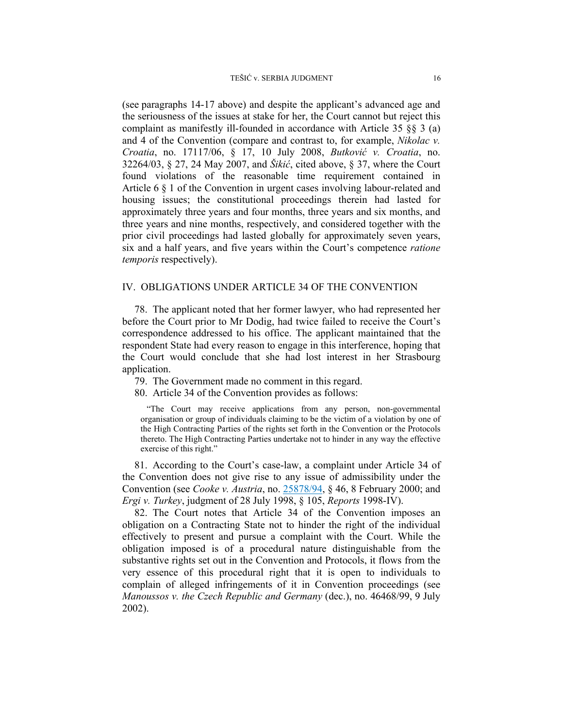(see paragraphs 14-17 above) and despite the applicant's advanced age and the seriousness of the issues at stake for her, the Court cannot but reject this complaint as manifestly ill-founded in accordance with Article 35 §§ 3 (a) and 4 of the Convention (compare and contrast to, for example, *Nikolac v. Croatia*, no. 17117/06, § 17, 10 July 2008, *Butković v. Croatia*, no. 32264/03, § 27, 24 May 2007, and *Šikić*, cited above, § 37, where the Court found violations of the reasonable time requirement contained in Article 6 § 1 of the Convention in urgent cases involving labour-related and housing issues; the constitutional proceedings therein had lasted for approximately three years and four months, three years and six months, and three years and nine months, respectively, and considered together with the prior civil proceedings had lasted globally for approximately seven years, six and a half years, and five years within the Court's competence *ratione temporis* respectively).

### IV. OBLIGATIONS UNDER ARTICLE 34 OF THE CONVENTION

78. The applicant noted that her former lawyer, who had represented her before the Court prior to Mr Dodig, had twice failed to receive the Court's correspondence addressed to his office. The applicant maintained that the respondent State had every reason to engage in this interference, hoping that the Court would conclude that she had lost interest in her Strasbourg application.

79. The Government made no comment in this regard.

80. Article 34 of the Convention provides as follows:

"The Court may receive applications from any person, non-governmental organisation or group of individuals claiming to be the victim of a violation by one of the High Contracting Parties of the rights set forth in the Convention or the Protocols thereto. The High Contracting Parties undertake not to hinder in any way the effective exercise of this right."

81. According to the Court's case-law, a complaint under Article 34 of the Convention does not give rise to any issue of admissibility under the Convention (see *Cooke v. Austria*, no. 25878/94, § 46, 8 February 2000; and *Ergi v. Turkey*, judgment of 28 July 1998, § 105, *Reports* 1998-IV).

82. The Court notes that Article 34 of the Convention imposes an obligation on a Contracting State not to hinder the right of the individual effectively to present and pursue a complaint with the Court. While the obligation imposed is of a procedural nature distinguishable from the substantive rights set out in the Convention and Protocols, it flows from the very essence of this procedural right that it is open to individuals to complain of alleged infringements of it in Convention proceedings (see *Manoussos v. the Czech Republic and Germany* (dec.), no. 46468/99, 9 July 2002).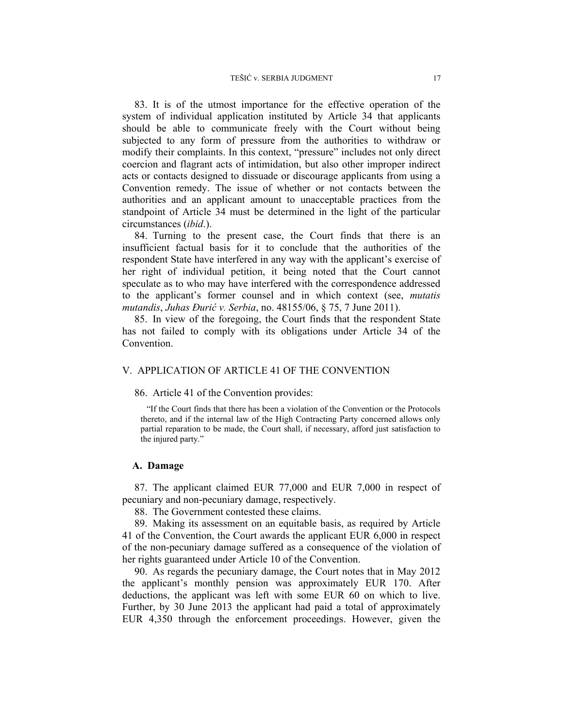83. It is of the utmost importance for the effective operation of the system of individual application instituted by Article 34 that applicants should be able to communicate freely with the Court without being subjected to any form of pressure from the authorities to withdraw or modify their complaints. In this context, "pressure" includes not only direct coercion and flagrant acts of intimidation, but also other improper indirect acts or contacts designed to dissuade or discourage applicants from using a Convention remedy. The issue of whether or not contacts between the authorities and an applicant amount to unacceptable practices from the standpoint of Article 34 must be determined in the light of the particular circumstances (*ibid*.).

84. Turning to the present case, the Court finds that there is an insufficient factual basis for it to conclude that the authorities of the respondent State have interfered in any way with the applicant's exercise of her right of individual petition, it being noted that the Court cannot speculate as to who may have interfered with the correspondence addressed to the applicant's former counsel and in which context (see, *mutatis mutandis*, *Juhas Đurić v. Serbia*, no. 48155/06, § 75, 7 June 2011).

85. In view of the foregoing, the Court finds that the respondent State has not failed to comply with its obligations under Article 34 of the Convention.

## V. APPLICATION OF ARTICLE 41 OF THE CONVENTION

#### 86. Article 41 of the Convention provides:

"If the Court finds that there has been a violation of the Convention or the Protocols thereto, and if the internal law of the High Contracting Party concerned allows only partial reparation to be made, the Court shall, if necessary, afford just satisfaction to the injured party."

## **A. Damage**

87. The applicant claimed EUR 77,000 and EUR 7,000 in respect of pecuniary and non-pecuniary damage, respectively.

88. The Government contested these claims.

89. Making its assessment on an equitable basis, as required by Article 41 of the Convention, the Court awards the applicant EUR 6,000 in respect of the non-pecuniary damage suffered as a consequence of the violation of her rights guaranteed under Article 10 of the Convention.

90. As regards the pecuniary damage, the Court notes that in May 2012 the applicant's monthly pension was approximately EUR 170. After deductions, the applicant was left with some EUR 60 on which to live. Further, by 30 June 2013 the applicant had paid a total of approximately EUR 4,350 through the enforcement proceedings. However, given the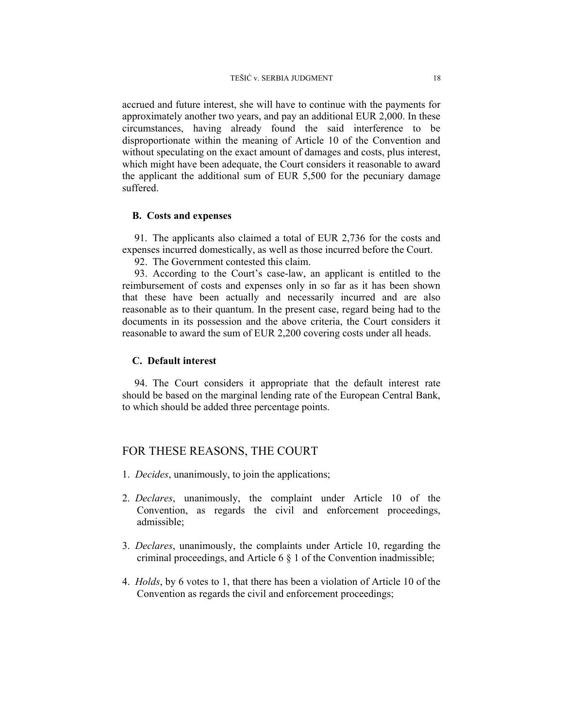accrued and future interest, she will have to continue with the payments for approximately another two years, and pay an additional EUR 2,000. In these circumstances, having already found the said interference to be disproportionate within the meaning of Article 10 of the Convention and without speculating on the exact amount of damages and costs, plus interest, which might have been adequate, the Court considers it reasonable to award the applicant the additional sum of EUR 5,500 for the pecuniary damage suffered.

## **B. Costs and expenses**

91. The applicants also claimed a total of EUR 2,736 for the costs and expenses incurred domestically, as well as those incurred before the Court.

92. The Government contested this claim.

93. According to the Court's case-law, an applicant is entitled to the reimbursement of costs and expenses only in so far as it has been shown that these have been actually and necessarily incurred and are also reasonable as to their quantum. In the present case, regard being had to the documents in its possession and the above criteria, the Court considers it reasonable to award the sum of EUR 2,200 covering costs under all heads.

## **C. Default interest**

94. The Court considers it appropriate that the default interest rate should be based on the marginal lending rate of the European Central Bank, to which should be added three percentage points.

# FOR THESE REASONS, THE COURT

- 1. *Decides*, unanimously, to join the applications;
- 2. *Declares*, unanimously, the complaint under Article 10 of the Convention, as regards the civil and enforcement proceedings, admissible;
- 3. *Declares*, unanimously, the complaints under Article 10, regarding the criminal proceedings, and Article 6 § 1 of the Convention inadmissible;
- 4. *Holds*, by 6 votes to 1, that there has been a violation of Article 10 of the Convention as regards the civil and enforcement proceedings;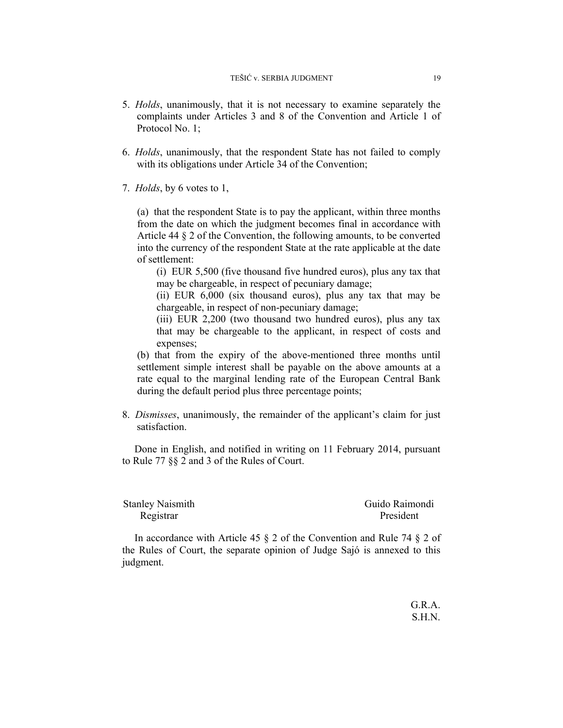- 5. *Holds*, unanimously, that it is not necessary to examine separately the complaints under Articles 3 and 8 of the Convention and Article 1 of Protocol No. 1;
- 6. *Holds*, unanimously, that the respondent State has not failed to comply with its obligations under Article 34 of the Convention;
- 7. *Holds*, by 6 votes to 1,

(a) that the respondent State is to pay the applicant, within three months from the date on which the judgment becomes final in accordance with Article 44 § 2 of the Convention, the following amounts, to be converted into the currency of the respondent State at the rate applicable at the date of settlement:

(i) EUR 5,500 (five thousand five hundred euros), plus any tax that may be chargeable, in respect of pecuniary damage;

(ii) EUR 6,000 (six thousand euros), plus any tax that may be chargeable, in respect of non-pecuniary damage;

(iii) EUR 2,200 (two thousand two hundred euros), plus any tax that may be chargeable to the applicant, in respect of costs and expenses;

(b) that from the expiry of the above-mentioned three months until settlement simple interest shall be payable on the above amounts at a rate equal to the marginal lending rate of the European Central Bank during the default period plus three percentage points;

8. *Dismisses*, unanimously, the remainder of the applicant's claim for just satisfaction.

Done in English, and notified in writing on 11 February 2014, pursuant to Rule 77 §§ 2 and 3 of the Rules of Court.

Stanley Naismith Guido Raimondi Registrar President

In accordance with Article 45 § 2 of the Convention and Rule 74 § 2 of the Rules of Court, the separate opinion of Judge Sajó is annexed to this judgment.

> G.R.A. S.H.N.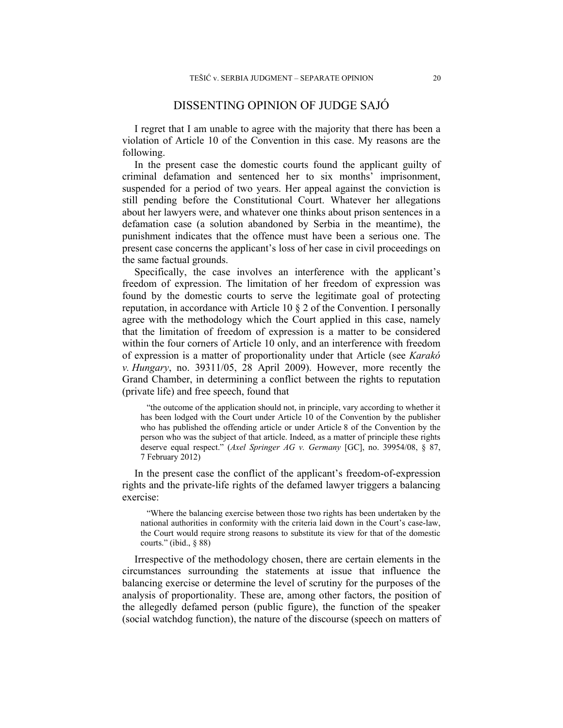# DISSENTING OPINION OF JUDGE SAJÓ

I regret that I am unable to agree with the majority that there has been a violation of Article 10 of the Convention in this case. My reasons are the following.

In the present case the domestic courts found the applicant guilty of criminal defamation and sentenced her to six months' imprisonment, suspended for a period of two years. Her appeal against the conviction is still pending before the Constitutional Court. Whatever her allegations about her lawyers were, and whatever one thinks about prison sentences in a defamation case (a solution abandoned by Serbia in the meantime), the punishment indicates that the offence must have been a serious one. The present case concerns the applicant's loss of her case in civil proceedings on the same factual grounds.

Specifically, the case involves an interference with the applicant's freedom of expression. The limitation of her freedom of expression was found by the domestic courts to serve the legitimate goal of protecting reputation, in accordance with Article 10 § 2 of the Convention. I personally agree with the methodology which the Court applied in this case, namely that the limitation of freedom of expression is a matter to be considered within the four corners of Article 10 only, and an interference with freedom of expression is a matter of proportionality under that Article (see *Karakó v. Hungary*, no. 39311/05, 28 April 2009). However, more recently the Grand Chamber, in determining a conflict between the rights to reputation (private life) and free speech, found that

"the outcome of the application should not, in principle, vary according to whether it has been lodged with the Court under Article 10 of the Convention by the publisher who has published the offending article or under Article 8 of the Convention by the person who was the subject of that article. Indeed, as a matter of principle these rights deserve equal respect." (*Axel Springer AG v. Germany* [GC], no. 39954/08, § 87, 7 February 2012)

In the present case the conflict of the applicant's freedom-of-expression rights and the private-life rights of the defamed lawyer triggers a balancing exercise:

"Where the balancing exercise between those two rights has been undertaken by the national authorities in conformity with the criteria laid down in the Court's case-law, the Court would require strong reasons to substitute its view for that of the domestic courts." (ibid.,  $§ 88$ )

Irrespective of the methodology chosen, there are certain elements in the circumstances surrounding the statements at issue that influence the balancing exercise or determine the level of scrutiny for the purposes of the analysis of proportionality. These are, among other factors, the position of the allegedly defamed person (public figure), the function of the speaker (social watchdog function), the nature of the discourse (speech on matters of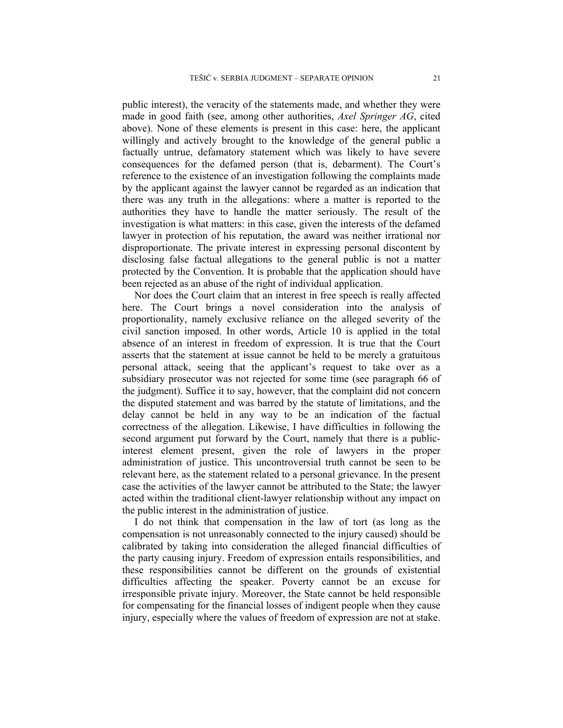public interest), the veracity of the statements made, and whether they were made in good faith (see, among other authorities, *Axel Springer AG*, cited above). None of these elements is present in this case: here, the applicant willingly and actively brought to the knowledge of the general public a factually untrue, defamatory statement which was likely to have severe consequences for the defamed person (that is, debarment). The Court's reference to the existence of an investigation following the complaints made by the applicant against the lawyer cannot be regarded as an indication that there was any truth in the allegations: where a matter is reported to the authorities they have to handle the matter seriously. The result of the investigation is what matters: in this case, given the interests of the defamed lawyer in protection of his reputation, the award was neither irrational nor disproportionate. The private interest in expressing personal discontent by disclosing false factual allegations to the general public is not a matter protected by the Convention. It is probable that the application should have been rejected as an abuse of the right of individual application.

Nor does the Court claim that an interest in free speech is really affected here. The Court brings a novel consideration into the analysis of proportionality, namely exclusive reliance on the alleged severity of the civil sanction imposed. In other words, Article 10 is applied in the total absence of an interest in freedom of expression. It is true that the Court asserts that the statement at issue cannot be held to be merely a gratuitous personal attack, seeing that the applicant's request to take over as a subsidiary prosecutor was not rejected for some time (see paragraph 66 of the judgment). Suffice it to say, however, that the complaint did not concern the disputed statement and was barred by the statute of limitations, and the delay cannot be held in any way to be an indication of the factual correctness of the allegation. Likewise, I have difficulties in following the second argument put forward by the Court, namely that there is a publicinterest element present, given the role of lawyers in the proper administration of justice. This uncontroversial truth cannot be seen to be relevant here, as the statement related to a personal grievance. In the present case the activities of the lawyer cannot be attributed to the State; the lawyer acted within the traditional client-lawyer relationship without any impact on the public interest in the administration of justice.

I do not think that compensation in the law of tort (as long as the compensation is not unreasonably connected to the injury caused) should be calibrated by taking into consideration the alleged financial difficulties of the party causing injury. Freedom of expression entails responsibilities, and these responsibilities cannot be different on the grounds of existential difficulties affecting the speaker. Poverty cannot be an excuse for irresponsible private injury. Moreover, the State cannot be held responsible for compensating for the financial losses of indigent people when they cause injury, especially where the values of freedom of expression are not at stake.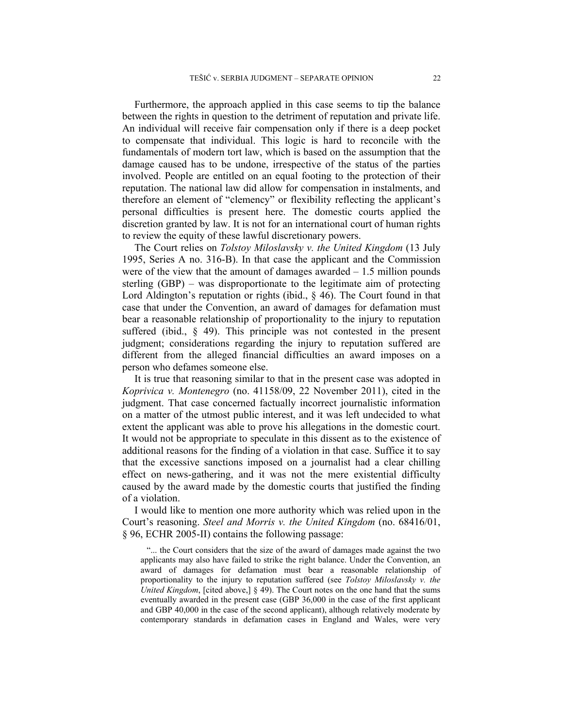Furthermore, the approach applied in this case seems to tip the balance between the rights in question to the detriment of reputation and private life. An individual will receive fair compensation only if there is a deep pocket to compensate that individual. This logic is hard to reconcile with the fundamentals of modern tort law, which is based on the assumption that the damage caused has to be undone, irrespective of the status of the parties involved. People are entitled on an equal footing to the protection of their reputation. The national law did allow for compensation in instalments, and therefore an element of "clemency" or flexibility reflecting the applicant's personal difficulties is present here. The domestic courts applied the discretion granted by law. It is not for an international court of human rights to review the equity of these lawful discretionary powers.

The Court relies on *Tolstoy Miloslavsky v. the United Kingdom* (13 July 1995, Series A no. 316-B). In that case the applicant and the Commission were of the view that the amount of damages awarded  $-1.5$  million pounds sterling (GBP) – was disproportionate to the legitimate aim of protecting Lord Aldington's reputation or rights (ibid., § 46). The Court found in that case that under the Convention, an award of damages for defamation must bear a reasonable relationship of proportionality to the injury to reputation suffered (ibid., § 49). This principle was not contested in the present judgment; considerations regarding the injury to reputation suffered are different from the alleged financial difficulties an award imposes on a person who defames someone else.

It is true that reasoning similar to that in the present case was adopted in *Koprivica v. Montenegro* (no. 41158/09, 22 November 2011), cited in the judgment. That case concerned factually incorrect journalistic information on a matter of the utmost public interest, and it was left undecided to what extent the applicant was able to prove his allegations in the domestic court. It would not be appropriate to speculate in this dissent as to the existence of additional reasons for the finding of a violation in that case. Suffice it to say that the excessive sanctions imposed on a journalist had a clear chilling effect on news-gathering, and it was not the mere existential difficulty caused by the award made by the domestic courts that justified the finding of a violation.

I would like to mention one more authority which was relied upon in the Court's reasoning. *Steel and Morris v. the United Kingdom* (no. 68416/01, § 96, ECHR 2005-II) contains the following passage:

"... the Court considers that the size of the award of damages made against the two applicants may also have failed to strike the right balance. Under the Convention, an award of damages for defamation must bear a reasonable relationship of proportionality to the injury to reputation suffered (see *Tolstoy Miloslavsky v. the United Kingdom*, [cited above,] § 49). The Court notes on the one hand that the sums eventually awarded in the present case (GBP 36,000 in the case of the first applicant and GBP 40,000 in the case of the second applicant), although relatively moderate by contemporary standards in defamation cases in England and Wales, were very